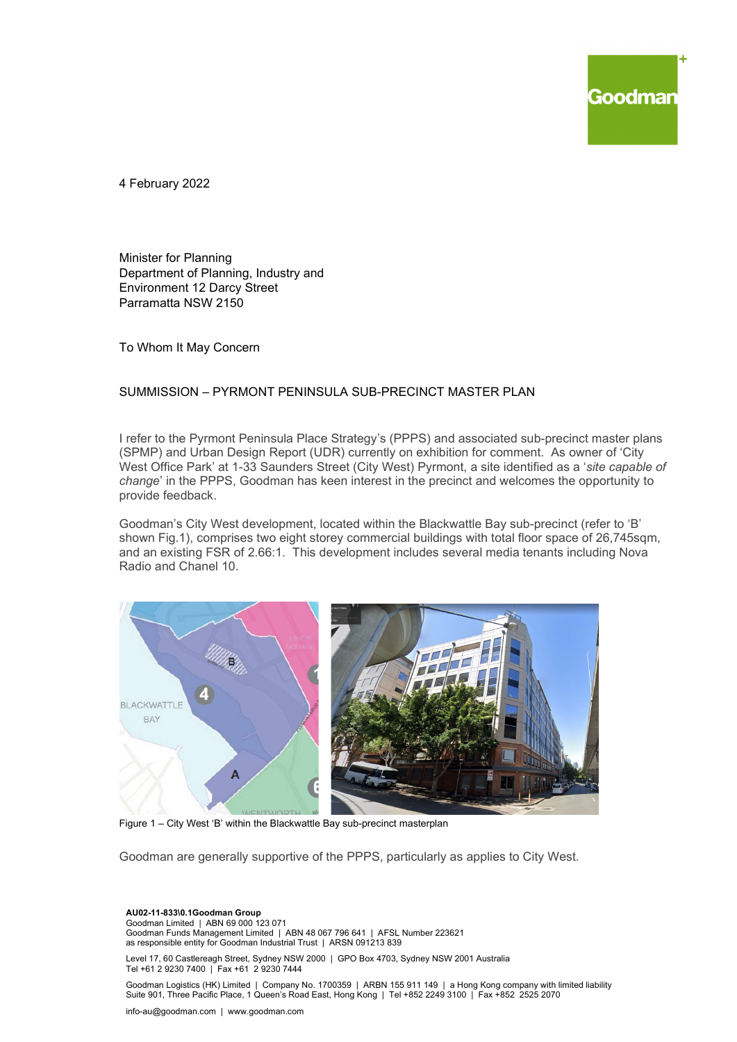Goodman

4 February 2022

Minister for Planning Department of Planning, Industry and Environment 12 Darcy Street Parramatta NSW 2150

To Whom It May Concern

## SUMMISSION – PYRMONT PENINSULA SUB-PRECINCT MASTER PLAN

I refer to the Pyrmont Peninsula Place Strategy's (PPPS) and associated sub-precinct master plans (SPMP) and Urban Design Report (UDR) currently on exhibition for comment. As owner of 'City West Office Park' at 1-33 Saunders Street (City West) Pyrmont, a site identified as a '*site capable of change*' in the PPPS, Goodman has keen interest in the precinct and welcomes the opportunity to provide feedback.

Goodman's City West development, located within the Blackwattle Bay sub-precinct (refer to 'B' shown Fig.1), comprises two eight storey commercial buildings with total floor space of 26,745sqm, and an existing FSR of 2.66:1. This development includes several media tenants including Nova Radio and Chanel 10.



Figure 1 – City West 'B' within the Blackwattle Bay sub-precinct masterplan

Goodman are generally supportive of the PPPS, particularly as applies to City West.

**AU02-11-833\0.1Goodman Group**  Goodman Limited | ABN 69 000 123 071 Goodman Funds Management Limited | ABN 48 067 796 641 | AFSL Number 223621 as responsible entity for Goodman Industrial Trust | ARSN 091213 839

Level 17, 60 Castlereagh Street, Sydney NSW 2000 | GPO Box 4703, Sydney NSW 2001 Australia Tel +61 2 9230 7400 | Fax +61 2 9230 7444

Goodman Logistics (HK) Limited | Company No. 1700359 | ARBN 155 911 149 | a Hong Kong company with limited liability Suite 901, Three Pacific Place, 1 Queen's Road East, Hong Kong | Tel +852 2249 3100 | Fax +852 2525 2070

info-au@goodman.com | www.goodman.com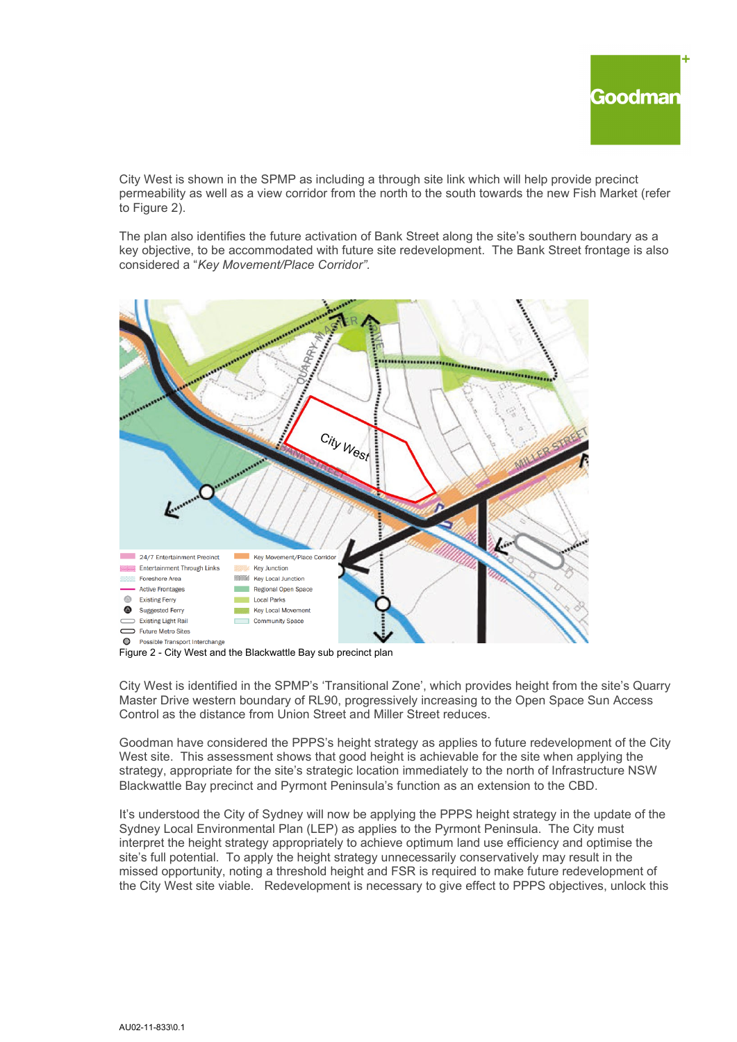City West is shown in the SPMP as including a through site link which will help provide precinct permeability as well as a view corridor from the north to the south towards the new Fish Market (refer to Figure 2).

The plan also identifies the future activation of Bank Street along the site's southern boundary as a key objective, to be accommodated with future site redevelopment. The Bank Street frontage is also considered a "*Key Movement/Place Corridor".* 



Figure 2 - City West and the Blackwattle Bay sub precinct plan

City West is identified in the SPMP's 'Transitional Zone', which provides height from the site's Quarry Master Drive western boundary of RL90, progressively increasing to the Open Space Sun Access Control as the distance from Union Street and Miller Street reduces.

Goodman have considered the PPPS's height strategy as applies to future redevelopment of the City West site. This assessment shows that good height is achievable for the site when applying the strategy, appropriate for the site's strategic location immediately to the north of Infrastructure NSW Blackwattle Bay precinct and Pyrmont Peninsula's function as an extension to the CBD.

It's understood the City of Sydney will now be applying the PPPS height strategy in the update of the Sydney Local Environmental Plan (LEP) as applies to the Pyrmont Peninsula. The City must interpret the height strategy appropriately to achieve optimum land use efficiency and optimise the site's full potential. To apply the height strategy unnecessarily conservatively may result in the missed opportunity, noting a threshold height and FSR is required to make future redevelopment of the City West site viable. Redevelopment is necessary to give effect to PPPS objectives, unlock this